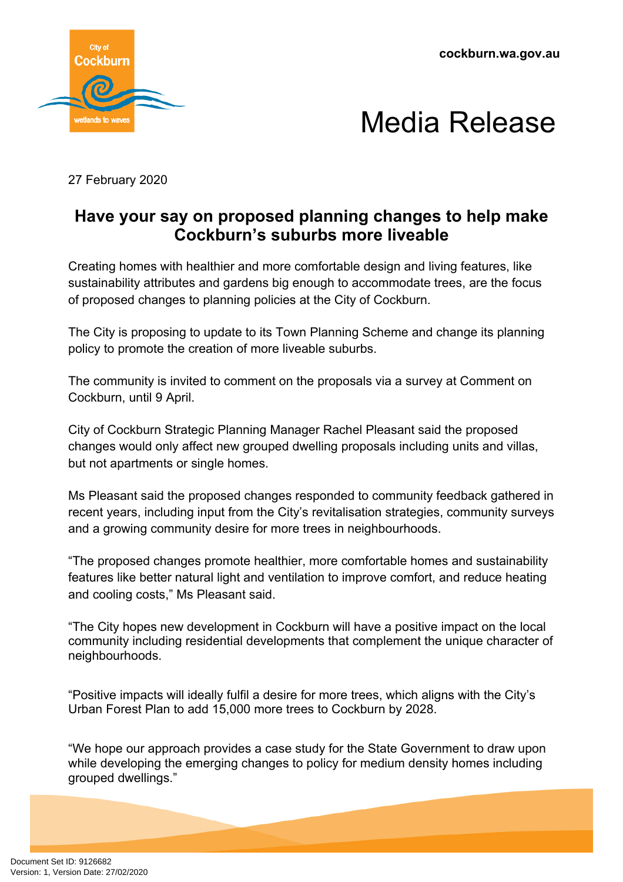**cockburn.wa.gov.au**





27 February 2020

## **Have your say on proposed planning changes to help make Cockburn's suburbs more liveable**

Creating homes with healthier and more comfortable design and living features, like sustainability attributes and gardens big enough to accommodate trees, are the focus of proposed changes to planning policies at the City of Cockburn.

The City is proposing to update to its Town Planning Scheme and change its planning policy to promote the creation of more liveable suburbs.

The community is invited to comment on the proposals via a survey at Comment on Cockburn, until 9 April.

City of Cockburn Strategic Planning Manager Rachel Pleasant said the proposed changes would only affect new grouped dwelling proposals including units and villas, but not apartments or single homes.

Ms Pleasant said the proposed changes responded to community feedback gathered in recent years, including input from the City's revitalisation strategies, community surveys and a growing community desire for more trees in neighbourhoods.

"The proposed changes promote healthier, more comfortable homes and sustainability features like better natural light and ventilation to improve comfort, and reduce heating and cooling costs," Ms Pleasant said.

"The City hopes new development in Cockburn will have a positive impact on the local community including residential developments that complement the unique character of neighbourhoods.

"Positive impacts will ideally fulfil a desire for more trees, which aligns with the City's Urban Forest Plan to add 15,000 more trees to Cockburn by 2028.

"We hope our approach provides a case study for the State Government to draw upon while developing the emerging changes to policy for medium density homes including grouped dwellings."

Document Set ID: 9126682<br>Version: 1, Version Date: 27/02/2020